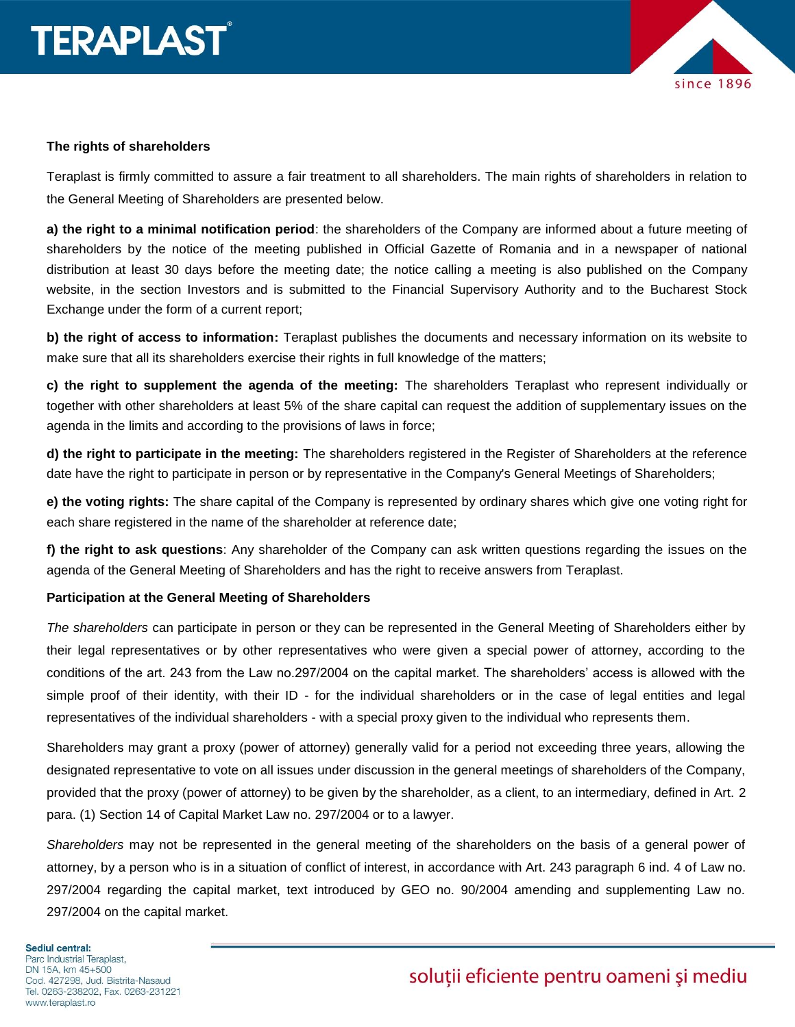

## **The rights of shareholders**

Teraplast is firmly committed to assure a fair treatment to all shareholders. The main rights of shareholders in relation to the General Meeting of Shareholders are presented below.

**a) the right to a minimal notification period**: the shareholders of the Company are informed about a future meeting of shareholders by the notice of the meeting published in Official Gazette of Romania and in a newspaper of national distribution at least 30 days before the meeting date; the notice calling a meeting is also published on the Company website, in the section Investors and is submitted to the Financial Supervisory Authority and to the Bucharest Stock Exchange under the form of a current report;

**b) the right of access to information:** Teraplast publishes the documents and necessary information on its website to make sure that all its shareholders exercise their rights in full knowledge of the matters;

**c) the right to supplement the agenda of the meeting:** The shareholders Teraplast who represent individually or together with other shareholders at least 5% of the share capital can request the addition of supplementary issues on the agenda in the limits and according to the provisions of laws in force;

**d) the right to participate in the meeting:** The shareholders registered in the Register of Shareholders at the reference date have the right to participate in person or by representative in the Company's General Meetings of Shareholders;

**e) the voting rights:** The share capital of the Company is represented by ordinary shares which give one voting right for each share registered in the name of the shareholder at reference date;

**f) the right to ask questions**: Any shareholder of the Company can ask written questions regarding the issues on the agenda of the General Meeting of Shareholders and has the right to receive answers from Teraplast.

## **Participation at the General Meeting of Shareholders**

*The shareholders* can participate in person or they can be represented in the General Meeting of Shareholders either by their legal representatives or by other representatives who were given a special power of attorney, according to the conditions of the art. 243 from the Law no.297/2004 on the capital market. The shareholders' access is allowed with the simple proof of their identity, with their ID - for the individual shareholders or in the case of legal entities and legal representatives of the individual shareholders - with a special proxy given to the individual who represents them.

Shareholders may grant a proxy (power of attorney) generally valid for a period not exceeding three years, allowing the designated representative to vote on all issues under discussion in the general meetings of shareholders of the Company, provided that the proxy (power of attorney) to be given by the shareholder, as a client, to an intermediary, defined in Art. 2 para. (1) Section 14 of Capital Market Law no. 297/2004 or to a lawyer.

*Shareholders* may not be represented in the general meeting of the shareholders on the basis of a general power of attorney, by a person who is in a situation of conflict of interest, in accordance with Art. 243 paragraph 6 ind. 4 of Law no. 297/2004 regarding the capital market, text introduced by GEO no. 90/2004 amending and supplementing Law no. 297/2004 on the capital market.

#### Sediul central:

Parc Industrial Teraplast, DN 15A, km 45+500 Cod. 427298, Jud. Bistrita-Nasaud Tel. 0263-238202, Fax. 0263-231221 www.teraplast.ro

## soluții eficiente pentru oameni și mediu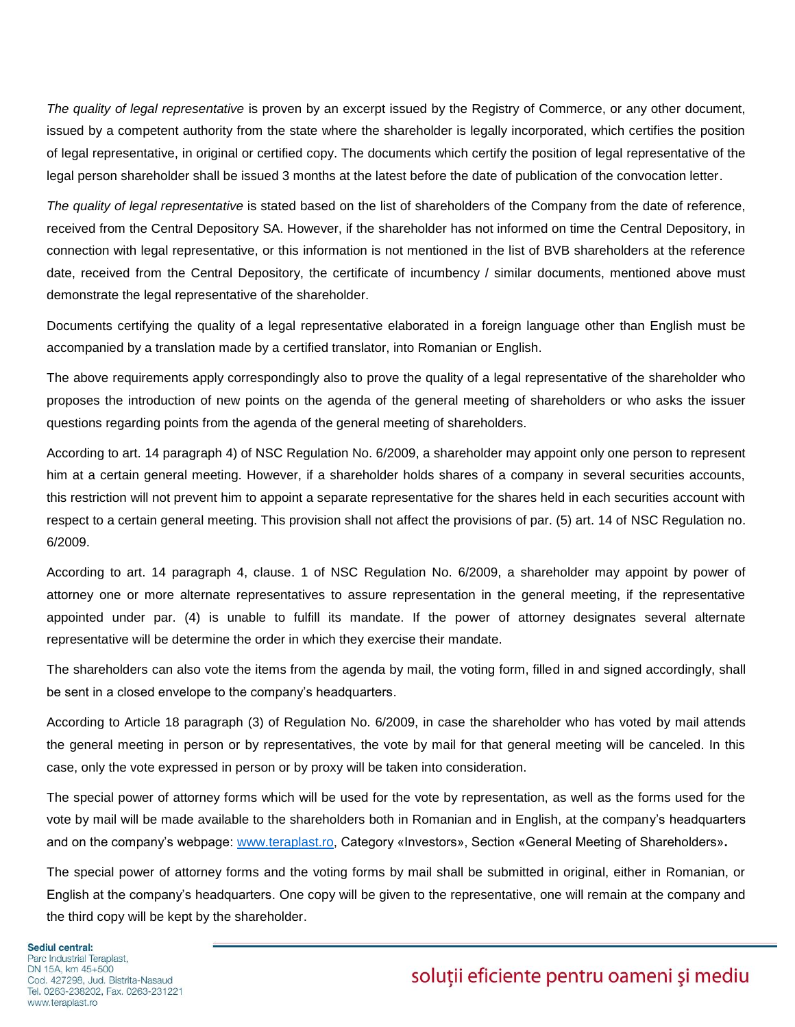*The quality of legal representative* is proven by an excerpt issued by the Registry of Commerce, or any other document, issued by a competent authority from the state where the shareholder is legally incorporated, which certifies the position of legal representative, in original or certified copy. The documents which certify the position of legal representative of the legal person shareholder shall be issued 3 months at the latest before the date of publication of the convocation letter.

*The quality of legal representative* is stated based on the list of shareholders of the Company from the date of reference, received from the Central Depository SA. However, if the shareholder has not informed on time the Central Depository, in connection with legal representative, or this information is not mentioned in the list of BVB shareholders at the reference date, received from the Central Depository, the certificate of incumbency / similar documents, mentioned above must demonstrate the legal representative of the shareholder.

Documents certifying the quality of a legal representative elaborated in a foreign language other than English must be accompanied by a translation made by a certified translator, into Romanian or English.

The above requirements apply correspondingly also to prove the quality of a legal representative of the shareholder who proposes the introduction of new points on the agenda of the general meeting of shareholders or who asks the issuer questions regarding points from the agenda of the general meeting of shareholders.

According to art. 14 paragraph 4) of NSC Regulation No. 6/2009, a shareholder may appoint only one person to represent him at a certain general meeting. However, if a shareholder holds shares of a company in several securities accounts, this restriction will not prevent him to appoint a separate representative for the shares held in each securities account with respect to a certain general meeting. This provision shall not affect the provisions of par. (5) art. 14 of NSC Regulation no. 6/2009.

According to art. 14 paragraph 4, clause. 1 of NSC Regulation No. 6/2009, a shareholder may appoint by power of attorney one or more alternate representatives to assure representation in the general meeting, if the representative appointed under par. (4) is unable to fulfill its mandate. If the power of attorney designates several alternate representative will be determine the order in which they exercise their mandate.

The shareholders can also vote the items from the agenda by mail, the voting form, filled in and signed accordingly, shall be sent in a closed envelope to the company's headquarters.

According to Article 18 paragraph (3) of Regulation No. 6/2009, in case the shareholder who has voted by mail attends the general meeting in person or by representatives, the vote by mail for that general meeting will be canceled. In this case, only the vote expressed in person or by proxy will be taken into consideration.

The special power of attorney forms which will be used for the vote by representation, as well as the forms used for the vote by mail will be made available to the shareholders both in Romanian and in English, at the company's headquarters and on the company's webpage: [www.teraplast.ro,](http://www.teraplast.ro/) Category «Investors», Section «General Meeting of Shareholders»**.**

The special power of attorney forms and the voting forms by mail shall be submitted in original, either in Romanian, or English at the company's headquarters. One copy will be given to the representative, one will remain at the company and the third copy will be kept by the shareholder.

**Sediul central:** Parc Industrial Teraplast. DN 15A, km 45+500 Cod. 427298. Jud. Bistrita-Nasaud Tel. 0263-238202, Fax. 0263-231221 www.teraplast.ro

# solutii eficiente pentru oameni și mediu